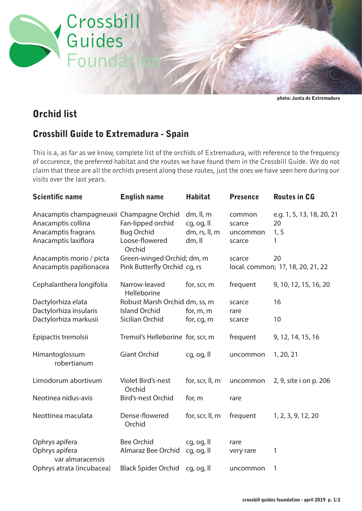

photo: Junta de Extremadura

## Orchid list

## Crossbill Guide to Extremadura - Spain

This is a, as far as we know, complete list of the orchids of Extremadura, with reference to the frequency of occurence, the preferred habitat and the routes we have found them in the Crossbill Guide. We do not claim that these are all the orchids present along those routes, just the ones we have seen here during our visits over the last years.

| <b>Scientific name</b>                                                                                         | <b>English name</b>                                                | <b>Habitat</b>                                     | <b>Presence</b>                        | <b>Routes in CG</b>                          |
|----------------------------------------------------------------------------------------------------------------|--------------------------------------------------------------------|----------------------------------------------------|----------------------------------------|----------------------------------------------|
| Anacamptis champagneuxii Champagne Orchid<br>Anacamptis collina<br>Anacamptis fragrans<br>Anacamptis laxiflora | Fan-lipped orchid<br><b>Bug Orchid</b><br>Loose-flowered<br>Orchid | dm, ll, m<br>cg, og, ll<br>dm, rs, ll, m<br>dm, ll | common<br>scarce<br>uncommon<br>scarce | e.g. 1, 5, 13, 18, 20, 21<br>20<br>1, 5<br>1 |
| Anacamptis morio / picta                                                                                       | Green-winged Orchid; dm, m                                         |                                                    | scarce                                 | 20                                           |
| Anacamptis papilionacea                                                                                        | Pink Butterfly Orchid cg, rs                                       |                                                    |                                        | local. common; 1?, 18, 20, 21, 22            |
| Cephalanthera longifolia                                                                                       | Narrow-leaved<br>Helleborine                                       | for, scr, m                                        | frequent                               | 9, 10, 12, 15, 16, 20                        |
| Dactylorhiza elata                                                                                             | Robust Marsh Orchid dm, ss, m                                      |                                                    | scarce                                 | 16                                           |
| Dactylorhiza insularis                                                                                         | <b>Island Orchid</b>                                               | for, $m$ , $m$                                     | rare                                   |                                              |
| Dactylorhiza markusii                                                                                          | Sicilian Orchid                                                    | for, cg, m                                         | scarce                                 | 10                                           |
| Epipactis tremolsii                                                                                            | Tremol's Helleborine for, scr, m                                   |                                                    | frequent                               | 9, 12, 14, 15, 16                            |
| Himantoglossum<br>robertianum                                                                                  | <b>Giant Orchid</b>                                                | cg, og, ll                                         | uncommon                               | 1, 20, 21                                    |
| Limodorum abortivum                                                                                            | Violet Bird's-nest<br>Orchid                                       | for, scr, ll, m                                    | uncommon                               | 2, 9, site i on p. 206                       |
| Neotinea nidus-avis                                                                                            | <b>Bird's-nest Orchid</b>                                          | for, m                                             | rare                                   |                                              |
| Neottinea maculata                                                                                             | Dense-flowered<br>Orchid                                           | for, scr, ll, m                                    | frequent                               | 1, 2, 3, 9, 12, 20                           |
| Ophrys apifera                                                                                                 | <b>Bee Orchid</b>                                                  | cg, og, ll                                         | rare                                   |                                              |
| Ophrys apifera<br>var almaracensis                                                                             | Almaraz Bee Orchid                                                 | cg, og, ll                                         | very rare                              | 1                                            |
| Ophrys atrata (incubacea)                                                                                      | <b>Black Spider Orchid</b>                                         | cg, og, ll                                         | uncommon                               | 1                                            |